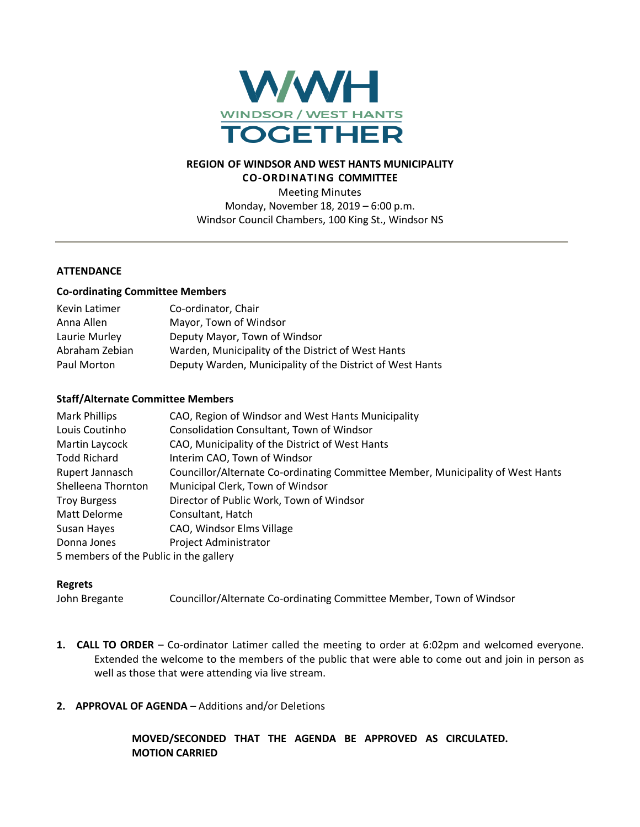

## **REGION OF WINDSOR AND WEST HANTS MUNICIPALITY CO-ORDINATING COMMITTEE**

Meeting Minutes Monday, November 18, 2019 – 6:00 p.m. Windsor Council Chambers, 100 King St., Windsor NS

## **ATTENDANCE**

#### **Co-ordinating Committee Members**

| Kevin Latimer  | Co-ordinator, Chair                                       |
|----------------|-----------------------------------------------------------|
| Anna Allen     | Mayor, Town of Windsor                                    |
| Laurie Murley  | Deputy Mayor, Town of Windsor                             |
| Abraham Zebian | Warden, Municipality of the District of West Hants        |
| Paul Morton    | Deputy Warden, Municipality of the District of West Hants |

### **Staff/Alternate Committee Members**

| <b>Mark Phillips</b>                   | CAO, Region of Windsor and West Hants Municipality                              |
|----------------------------------------|---------------------------------------------------------------------------------|
| Louis Coutinho                         | Consolidation Consultant, Town of Windsor                                       |
| Martin Laycock                         | CAO, Municipality of the District of West Hants                                 |
| <b>Todd Richard</b>                    | Interim CAO, Town of Windsor                                                    |
| Rupert Jannasch                        | Councillor/Alternate Co-ordinating Committee Member, Municipality of West Hants |
| Shelleena Thornton                     | Municipal Clerk, Town of Windsor                                                |
| <b>Troy Burgess</b>                    | Director of Public Work, Town of Windsor                                        |
| Matt Delorme                           | Consultant, Hatch                                                               |
| Susan Hayes                            | CAO, Windsor Elms Village                                                       |
| Donna Jones                            | Project Administrator                                                           |
| 5 members of the Public in the gallery |                                                                                 |

### **Regrets**

John Bregante Councillor/Alternate Co-ordinating Committee Member, Town of Windsor

- **1. CALL TO ORDER** Co-ordinator Latimer called the meeting to order at 6:02pm and welcomed everyone. Extended the welcome to the members of the public that were able to come out and join in person as well as those that were attending via live stream.
- **2. APPROVAL OF AGENDA** Additions and/or Deletions

**MOVED/SECONDED THAT THE AGENDA BE APPROVED AS CIRCULATED. MOTION CARRIED**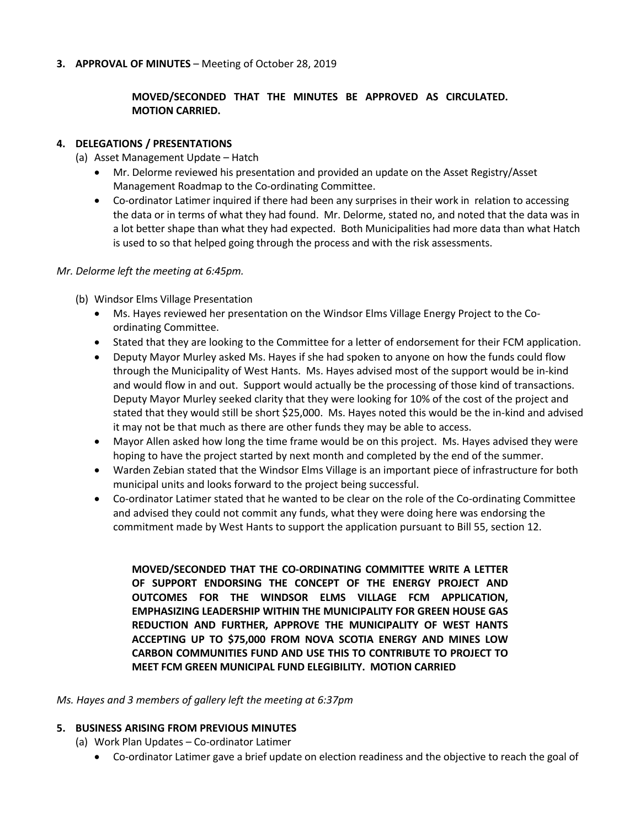### **3. APPROVAL OF MINUTES** – Meeting of October 28, 2019

# **MOVED/SECONDED THAT THE MINUTES BE APPROVED AS CIRCULATED. MOTION CARRIED.**

### **4. DELEGATIONS / PRESENTATIONS**

- (a) Asset Management Update Hatch
	- Mr. Delorme reviewed his presentation and provided an update on the Asset Registry/Asset Management Roadmap to the Co-ordinating Committee.
	- Co-ordinator Latimer inquired if there had been any surprises in their work in relation to accessing the data or in terms of what they had found. Mr. Delorme, stated no, and noted that the data was in a lot better shape than what they had expected. Both Municipalities had more data than what Hatch is used to so that helped going through the process and with the risk assessments.

### *Mr. Delorme left the meeting at 6:45pm.*

- (b) Windsor Elms Village Presentation
	- Ms. Hayes reviewed her presentation on the Windsor Elms Village Energy Project to the Coordinating Committee.
	- Stated that they are looking to the Committee for a letter of endorsement for their FCM application.
	- Deputy Mayor Murley asked Ms. Hayes if she had spoken to anyone on how the funds could flow through the Municipality of West Hants. Ms. Hayes advised most of the support would be in-kind and would flow in and out. Support would actually be the processing of those kind of transactions. Deputy Mayor Murley seeked clarity that they were looking for 10% of the cost of the project and stated that they would still be short \$25,000. Ms. Hayes noted this would be the in-kind and advised it may not be that much as there are other funds they may be able to access.
	- Mayor Allen asked how long the time frame would be on this project. Ms. Hayes advised they were hoping to have the project started by next month and completed by the end of the summer.
	- Warden Zebian stated that the Windsor Elms Village is an important piece of infrastructure for both municipal units and looks forward to the project being successful.
	- Co-ordinator Latimer stated that he wanted to be clear on the role of the Co-ordinating Committee and advised they could not commit any funds, what they were doing here was endorsing the commitment made by West Hants to support the application pursuant to Bill 55, section 12.

**MOVED/SECONDED THAT THE CO-ORDINATING COMMITTEE WRITE A LETTER OF SUPPORT ENDORSING THE CONCEPT OF THE ENERGY PROJECT AND OUTCOMES FOR THE WINDSOR ELMS VILLAGE FCM APPLICATION, EMPHASIZING LEADERSHIP WITHIN THE MUNICIPALITY FOR GREEN HOUSE GAS REDUCTION AND FURTHER, APPROVE THE MUNICIPALITY OF WEST HANTS ACCEPTING UP TO \$75,000 FROM NOVA SCOTIA ENERGY AND MINES LOW CARBON COMMUNITIES FUND AND USE THIS TO CONTRIBUTE TO PROJECT TO MEET FCM GREEN MUNICIPAL FUND ELEGIBILITY. MOTION CARRIED**

*Ms. Hayes and 3 members of gallery left the meeting at 6:37pm*

### **5. BUSINESS ARISING FROM PREVIOUS MINUTES**

- (a) Work Plan Updates Co-ordinator Latimer
	- Co-ordinator Latimer gave a brief update on election readiness and the objective to reach the goal of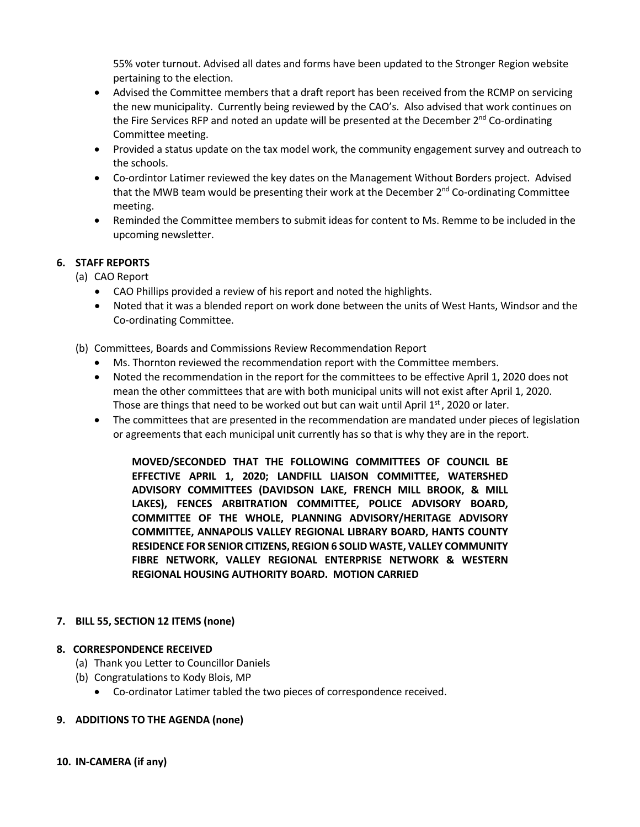55% voter turnout. Advised all dates and forms have been updated to the Stronger Region website pertaining to the election.

- Advised the Committee members that a draft report has been received from the RCMP on servicing the new municipality. Currently being reviewed by the CAO's. Also advised that work continues on the Fire Services RFP and noted an update will be presented at the December 2<sup>nd</sup> Co-ordinating Committee meeting.
- Provided a status update on the tax model work, the community engagement survey and outreach to the schools.
- Co-ordintor Latimer reviewed the key dates on the Management Without Borders project. Advised that the MWB team would be presenting their work at the December  $2<sup>nd</sup>$  Co-ordinating Committee meeting.
- Reminded the Committee members to submit ideas for content to Ms. Remme to be included in the upcoming newsletter.

## **6. STAFF REPORTS**

(a) CAO Report

- CAO Phillips provided a review of his report and noted the highlights.
- Noted that it was a blended report on work done between the units of West Hants, Windsor and the Co-ordinating Committee.
- (b) Committees, Boards and Commissions Review Recommendation Report
	- Ms. Thornton reviewed the recommendation report with the Committee members.
	- Noted the recommendation in the report for the committees to be effective April 1, 2020 does not mean the other committees that are with both municipal units will not exist after April 1, 2020. Those are things that need to be worked out but can wait until April  $1<sup>st</sup>$ , 2020 or later.
	- The committees that are presented in the recommendation are mandated under pieces of legislation or agreements that each municipal unit currently has so that is why they are in the report.

**MOVED/SECONDED THAT THE FOLLOWING COMMITTEES OF COUNCIL BE EFFECTIVE APRIL 1, 2020; LANDFILL LIAISON COMMITTEE, WATERSHED ADVISORY COMMITTEES (DAVIDSON LAKE, FRENCH MILL BROOK, & MILL LAKES), FENCES ARBITRATION COMMITTEE, POLICE ADVISORY BOARD, COMMITTEE OF THE WHOLE, PLANNING ADVISORY/HERITAGE ADVISORY COMMITTEE, ANNAPOLIS VALLEY REGIONAL LIBRARY BOARD, HANTS COUNTY RESIDENCE FOR SENIOR CITIZENS, REGION 6 SOLID WASTE, VALLEY COMMUNITY FIBRE NETWORK, VALLEY REGIONAL ENTERPRISE NETWORK & WESTERN REGIONAL HOUSING AUTHORITY BOARD. MOTION CARRIED**

### **7. BILL 55, SECTION 12 ITEMS (none)**

### **8. CORRESPONDENCE RECEIVED**

- (a) Thank you Letter to Councillor Daniels
- (b) Congratulations to Kody Blois, MP
	- Co-ordinator Latimer tabled the two pieces of correspondence received.

### **9. ADDITIONS TO THE AGENDA (none)**